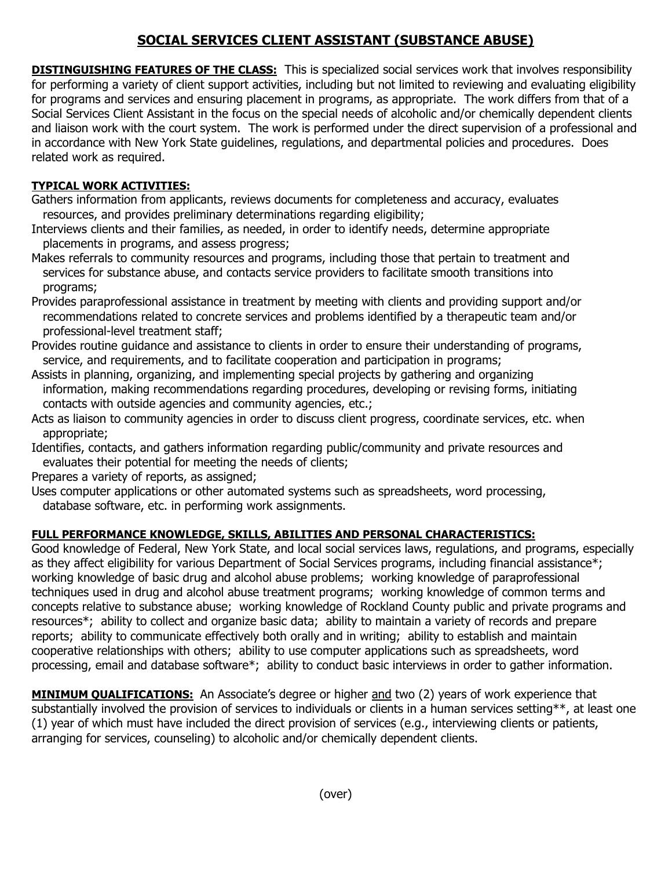## **SOCIAL SERVICES CLIENT ASSISTANT (SUBSTANCE ABUSE)**

**DISTINGUISHING FEATURES OF THE CLASS:** This is specialized social services work that involves responsibility for performing a variety of client support activities, including but not limited to reviewing and evaluating eligibility for programs and services and ensuring placement in programs, as appropriate. The work differs from that of a Social Services Client Assistant in the focus on the special needs of alcoholic and/or chemically dependent clients and liaison work with the court system. The work is performed under the direct supervision of a professional and in accordance with New York State guidelines, regulations, and departmental policies and procedures. Does related work as required.

## **TYPICAL WORK ACTIVITIES:**

Gathers information from applicants, reviews documents for completeness and accuracy, evaluates resources, and provides preliminary determinations regarding eligibility;

Interviews clients and their families, as needed, in order to identify needs, determine appropriate placements in programs, and assess progress;

Makes referrals to community resources and programs, including those that pertain to treatment and services for substance abuse, and contacts service providers to facilitate smooth transitions into programs;

Provides paraprofessional assistance in treatment by meeting with clients and providing support and/or recommendations related to concrete services and problems identified by a therapeutic team and/or professional-level treatment staff;

Provides routine guidance and assistance to clients in order to ensure their understanding of programs, service, and requirements, and to facilitate cooperation and participation in programs;

Assists in planning, organizing, and implementing special projects by gathering and organizing information, making recommendations regarding procedures, developing or revising forms, initiating contacts with outside agencies and community agencies, etc.;

Acts as liaison to community agencies in order to discuss client progress, coordinate services, etc. when appropriate;

Identifies, contacts, and gathers information regarding public/community and private resources and evaluates their potential for meeting the needs of clients;

Prepares a variety of reports, as assigned;

Uses computer applications or other automated systems such as spreadsheets, word processing, database software, etc. in performing work assignments.

## **FULL PERFORMANCE KNOWLEDGE, SKILLS, ABILITIES AND PERSONAL CHARACTERISTICS:**

Good knowledge of Federal, New York State, and local social services laws, regulations, and programs, especially as they affect eligibility for various Department of Social Services programs, including financial assistance\*; working knowledge of basic drug and alcohol abuse problems; working knowledge of paraprofessional techniques used in drug and alcohol abuse treatment programs; working knowledge of common terms and concepts relative to substance abuse; working knowledge of Rockland County public and private programs and resources\*; ability to collect and organize basic data; ability to maintain a variety of records and prepare reports; ability to communicate effectively both orally and in writing; ability to establish and maintain cooperative relationships with others; ability to use computer applications such as spreadsheets, word processing, email and database software\*; ability to conduct basic interviews in order to gather information.

**MINIMUM QUALIFICATIONS:** An Associate's degree or higher and two (2) years of work experience that substantially involved the provision of services to individuals or clients in a human services setting\*\*, at least one (1) year of which must have included the direct provision of services (e.g., interviewing clients or patients, arranging for services, counseling) to alcoholic and/or chemically dependent clients.